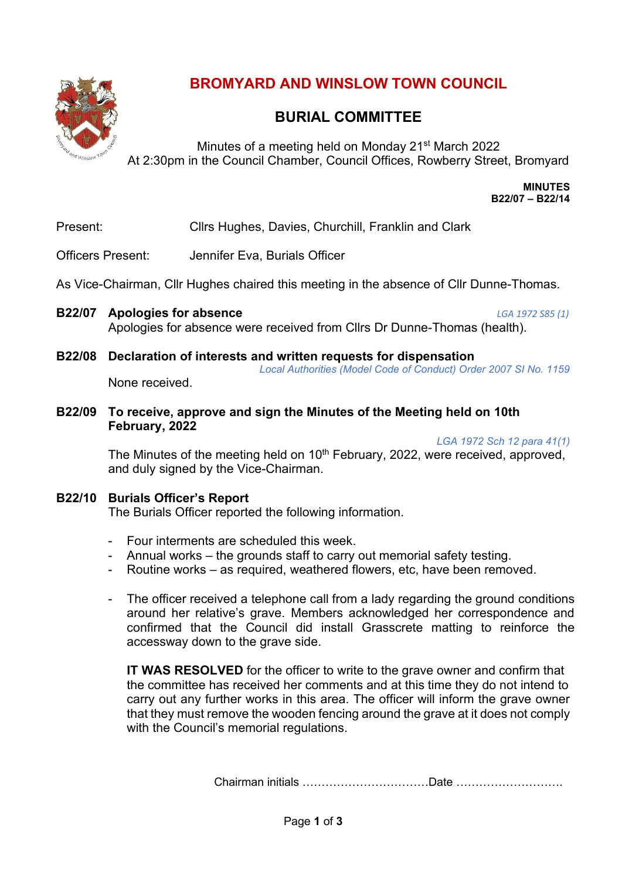

# **BROMYARD AND WINSLOW TOWN COUNCIL**

# **BURIAL COMMITTEE**

Minutes of a meeting held on Monday 21<sup>st</sup> March 2022 At 2:30pm in the Council Chamber, Council Offices, Rowberry Street, Bromyard

> **MINUTES B22/07 – B22/14**

Present: Cllrs Hughes, Davies, Churchill, Franklin and Clark

Officers Present: Jennifer Eva, Burials Officer

As Vice-Chairman, Cllr Hughes chaired this meeting in the absence of Cllr Dunne-Thomas.

- **B22/07 Apologies for absence** *LGA 1972 S85 (1)* Apologies for absence were received from Cllrs Dr Dunne-Thomas (health).
- **B22/08 Declaration of interests and written requests for dispensation** *Local Authorities (Model Code of Conduct) Order 2007 SI No. 1159* None received.
- **B22/09 To receive, approve and sign the Minutes of the Meeting held on 10th February, 2022**

*LGA 1972 Sch 12 para 41(1)*

The Minutes of the meeting held on  $10<sup>th</sup>$  February, 2022, were received, approved, and duly signed by the Vice-Chairman.

### **B22/10 Burials Officer's Report**

The Burials Officer reported the following information.

- Four interments are scheduled this week.
- Annual works the grounds staff to carry out memorial safety testing.
- Routine works as required, weathered flowers, etc, have been removed.
- The officer received a telephone call from a lady regarding the ground conditions around her relative's grave. Members acknowledged her correspondence and confirmed that the Council did install Grasscrete matting to reinforce the accessway down to the grave side.

**IT WAS RESOLVED** for the officer to write to the grave owner and confirm that the committee has received her comments and at this time they do not intend to carry out any further works in this area. The officer will inform the grave owner that they must remove the wooden fencing around the grave at it does not comply with the Council's memorial regulations.

Chairman initials ……………………………Date ……………………….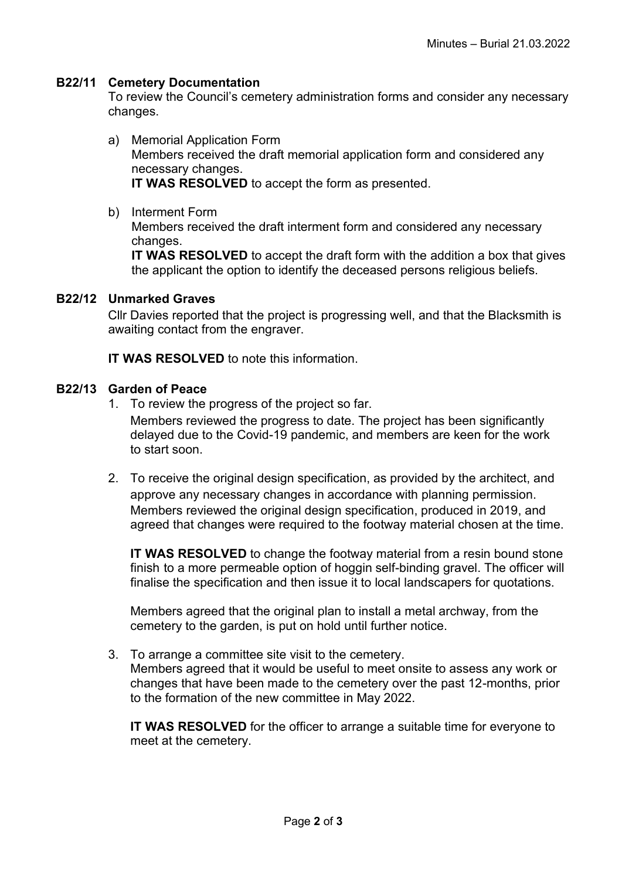### **B22/11 Cemetery Documentation**

To review the Council's cemetery administration forms and consider any necessary changes.

- a) Memorial Application Form Members received the draft memorial application form and considered any necessary changes. **IT WAS RESOLVED** to accept the form as presented.
- b) Interment Form Members received the draft interment form and considered any necessary changes. **IT WAS RESOLVED** to accept the draft form with the addition a box that gives the applicant the option to identify the deceased persons religious beliefs.

#### **B22/12 Unmarked Graves**

Cllr Davies reported that the project is progressing well, and that the Blacksmith is awaiting contact from the engraver.

**IT WAS RESOLVED** to note this information

#### **B22/13 Garden of Peace**

1. To review the progress of the project so far.

Members reviewed the progress to date. The project has been significantly delayed due to the Covid-19 pandemic, and members are keen for the work to start soon.

2. To receive the original design specification, as provided by the architect, and approve any necessary changes in accordance with planning permission. Members reviewed the original design specification, produced in 2019, and agreed that changes were required to the footway material chosen at the time.

**IT WAS RESOLVED** to change the footway material from a resin bound stone finish to a more permeable option of hoggin self-binding gravel. The officer will finalise the specification and then issue it to local landscapers for quotations.

Members agreed that the original plan to install a metal archway, from the cemetery to the garden, is put on hold until further notice.

3. To arrange a committee site visit to the cemetery. Members agreed that it would be useful to meet onsite to assess any work or changes that have been made to the cemetery over the past 12-months, prior to the formation of the new committee in May 2022.

**IT WAS RESOLVED** for the officer to arrange a suitable time for everyone to meet at the cemetery.